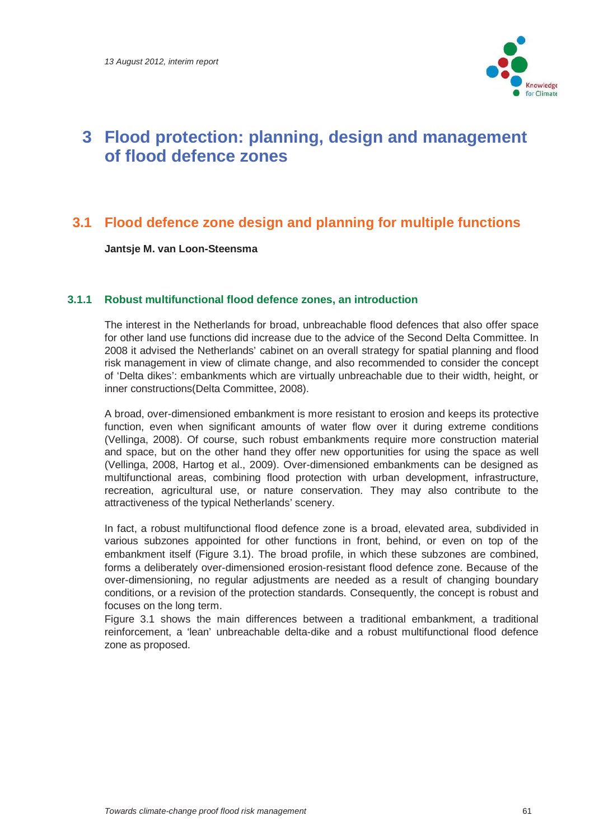

## **3 Flood protection: planning, design and management of flood defence zones**

### **3.1 Flood defence zone design and planning for multiple functions**

**Jantsje M. van Loon-Steensma** 

#### **3.1.1 Robust multifunctional flood defence zones, an introduction**

The interest in the Netherlands for broad, unbreachable flood defences that also offer space for other land use functions did increase due to the advice of the Second Delta Committee. In 2008 it advised the Netherlands' cabinet on an overall strategy for spatial planning and flood risk management in view of climate change, and also recommended to consider the concept of 'Delta dikes': embankments which are virtually unbreachable due to their width, height, or inner constructions(Delta Committee, 2008).

A broad, over-dimensioned embankment is more resistant to erosion and keeps its protective function, even when significant amounts of water flow over it during extreme conditions (Vellinga, 2008). Of course, such robust embankments require more construction material and space, but on the other hand they offer new opportunities for using the space as well (Vellinga, 2008, Hartog et al., 2009). Over-dimensioned embankments can be designed as multifunctional areas, combining flood protection with urban development, infrastructure, recreation, agricultural use, or nature conservation. They may also contribute to the attractiveness of the typical Netherlands' scenery.

In fact, a robust multifunctional flood defence zone is a broad, elevated area, subdivided in various subzones appointed for other functions in front, behind, or even on top of the embankment itself (Figure 3.1). The broad profile, in which these subzones are combined, forms a deliberately over-dimensioned erosion-resistant flood defence zone. Because of the over-dimensioning, no regular adjustments are needed as a result of changing boundary conditions, or a revision of the protection standards. Consequently, the concept is robust and focuses on the long term.

Figure 3.1 shows the main differences between a traditional embankment, a traditional reinforcement, a 'lean' unbreachable delta-dike and a robust multifunctional flood defence zone as proposed.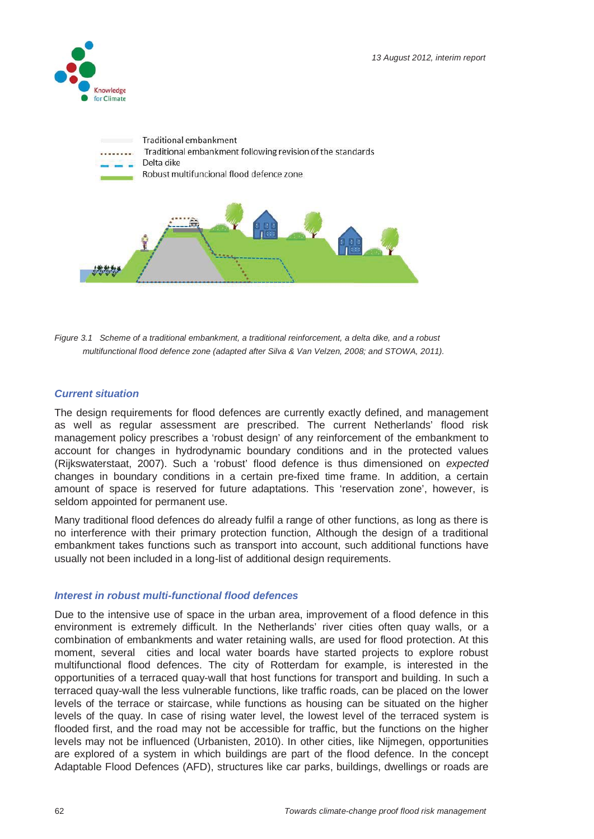



*Figure 3.1 Scheme of a traditional embankment, a traditional reinforcement, a delta dike, and a robust multifunctional flood defence zone (adapted after Silva & Van Velzen, 2008; and STOWA, 2011).* 

#### *Current situation*

The design requirements for flood defences are currently exactly defined, and management as well as regular assessment are prescribed. The current Netherlands' flood risk management policy prescribes a 'robust design' of any reinforcement of the embankment to account for changes in hydrodynamic boundary conditions and in the protected values (Rijkswaterstaat, 2007). Such a 'robust' flood defence is thus dimensioned on *expected* changes in boundary conditions in a certain pre-fixed time frame. In addition, a certain amount of space is reserved for future adaptations. This 'reservation zone', however, is seldom appointed for permanent use.

Many traditional flood defences do already fulfil a range of other functions, as long as there is no interference with their primary protection function, Although the design of a traditional embankment takes functions such as transport into account, such additional functions have usually not been included in a long-list of additional design requirements.

#### *Interest in robust multi-functional flood defences*

Due to the intensive use of space in the urban area, improvement of a flood defence in this environment is extremely difficult. In the Netherlands' river cities often quay walls, or a combination of embankments and water retaining walls, are used for flood protection. At this moment, several cities and local water boards have started projects to explore robust multifunctional flood defences. The city of Rotterdam for example, is interested in the opportunities of a terraced quay-wall that host functions for transport and building. In such a terraced quay-wall the less vulnerable functions, like traffic roads, can be placed on the lower levels of the terrace or staircase, while functions as housing can be situated on the higher levels of the quay. In case of rising water level, the lowest level of the terraced system is flooded first, and the road may not be accessible for traffic, but the functions on the higher levels may not be influenced (Urbanisten, 2010). In other cities, like Nijmegen, opportunities are explored of a system in which buildings are part of the flood defence. In the concept Adaptable Flood Defences (AFD), structures like car parks, buildings, dwellings or roads are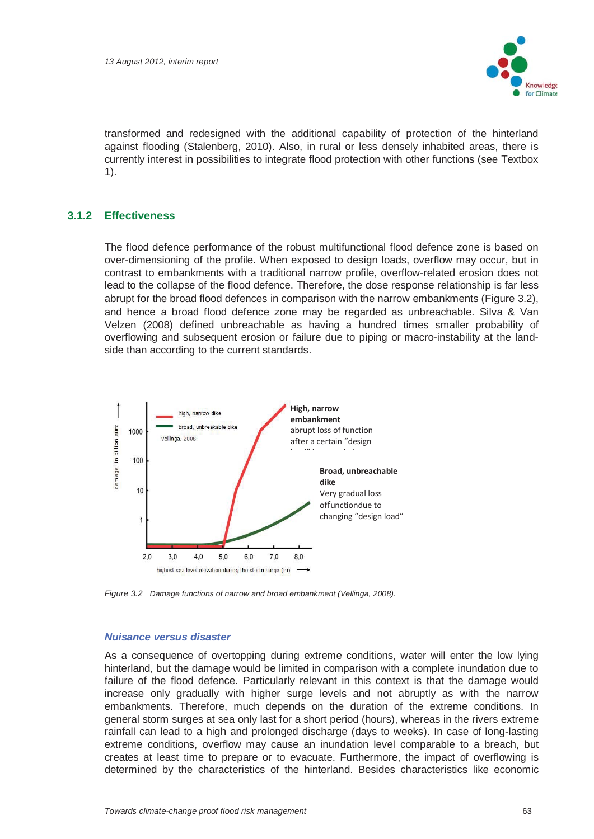

transformed and redesigned with the additional capability of protection of the hinterland against flooding (Stalenberg, 2010). Also, in rural or less densely inhabited areas, there is currently interest in possibilities to integrate flood protection with other functions (see Textbox 1).

#### **3.1.2 Effectiveness**

The flood defence performance of the robust multifunctional flood defence zone is based on over-dimensioning of the profile. When exposed to design loads, overflow may occur, but in contrast to embankments with a traditional narrow profile, overflow-related erosion does not lead to the collapse of the flood defence. Therefore, the dose response relationship is far less abrupt for the broad flood defences in comparison with the narrow embankments (Figure 3.2), and hence a broad flood defence zone may be regarded as unbreachable. Silva & Van Velzen (2008) defined unbreachable as having a hundred times smaller probability of overflowing and subsequent erosion or failure due to piping or macro-instability at the landside than according to the current standards.



*Figure 3.2 Damage functions of narrow and broad embankment (Vellinga, 2008).* 

#### *Nuisance versus disaster*

As a consequence of overtopping during extreme conditions, water will enter the low lying hinterland, but the damage would be limited in comparison with a complete inundation due to failure of the flood defence. Particularly relevant in this context is that the damage would increase only gradually with higher surge levels and not abruptly as with the narrow embankments. Therefore, much depends on the duration of the extreme conditions. In general storm surges at sea only last for a short period (hours), whereas in the rivers extreme rainfall can lead to a high and prolonged discharge (days to weeks). In case of long-lasting extreme conditions, overflow may cause an inundation level comparable to a breach, but creates at least time to prepare or to evacuate. Furthermore, the impact of overflowing is determined by the characteristics of the hinterland. Besides characteristics like economic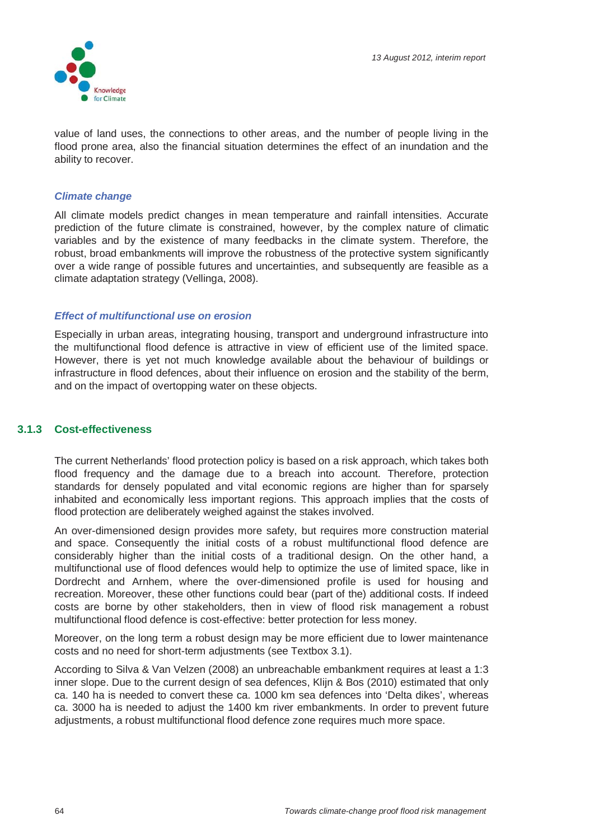

value of land uses, the connections to other areas, and the number of people living in the flood prone area, also the financial situation determines the effect of an inundation and the ability to recover.

#### *Climate change*

All climate models predict changes in mean temperature and rainfall intensities. Accurate prediction of the future climate is constrained, however, by the complex nature of climatic variables and by the existence of many feedbacks in the climate system. Therefore, the robust, broad embankments will improve the robustness of the protective system significantly over a wide range of possible futures and uncertainties, and subsequently are feasible as a climate adaptation strategy (Vellinga, 2008).

#### *Effect of multifunctional use on erosion*

Especially in urban areas, integrating housing, transport and underground infrastructure into the multifunctional flood defence is attractive in view of efficient use of the limited space. However, there is yet not much knowledge available about the behaviour of buildings or infrastructure in flood defences, about their influence on erosion and the stability of the berm, and on the impact of overtopping water on these objects.

#### **3.1.3 Cost-effectiveness**

The current Netherlands' flood protection policy is based on a risk approach, which takes both flood frequency and the damage due to a breach into account. Therefore, protection standards for densely populated and vital economic regions are higher than for sparsely inhabited and economically less important regions. This approach implies that the costs of flood protection are deliberately weighed against the stakes involved.

An over-dimensioned design provides more safety, but requires more construction material and space. Consequently the initial costs of a robust multifunctional flood defence are considerably higher than the initial costs of a traditional design. On the other hand, a multifunctional use of flood defences would help to optimize the use of limited space, like in Dordrecht and Arnhem, where the over-dimensioned profile is used for housing and recreation. Moreover, these other functions could bear (part of the) additional costs. If indeed costs are borne by other stakeholders, then in view of flood risk management a robust multifunctional flood defence is cost-effective: better protection for less money.

Moreover, on the long term a robust design may be more efficient due to lower maintenance costs and no need for short-term adjustments (see Textbox 3.1).

According to Silva & Van Velzen (2008) an unbreachable embankment requires at least a 1:3 inner slope. Due to the current design of sea defences, Klijn & Bos (2010) estimated that only ca. 140 ha is needed to convert these ca. 1000 km sea defences into 'Delta dikes', whereas ca. 3000 ha is needed to adjust the 1400 km river embankments. In order to prevent future adjustments, a robust multifunctional flood defence zone requires much more space.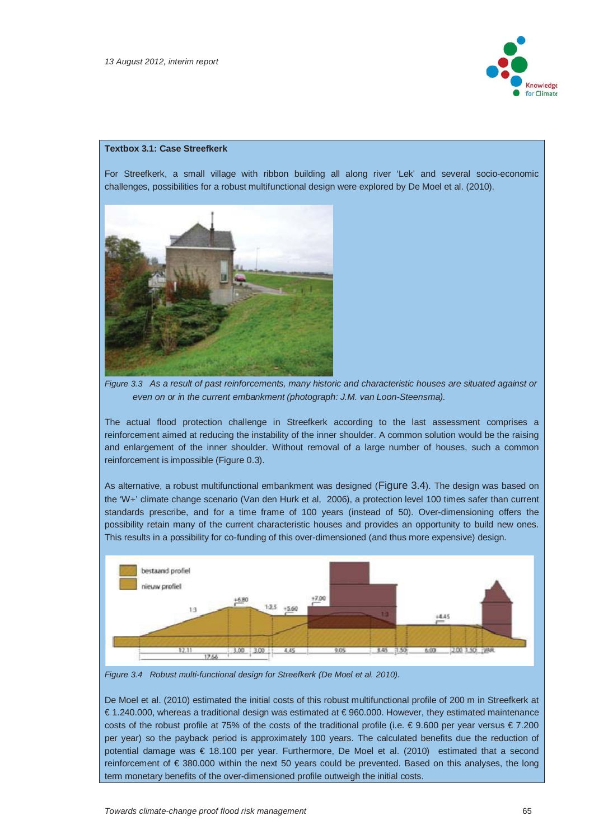

#### **Textbox 3.1: Case Streefkerk**

For Streefkerk, a small village with ribbon building all along river 'Lek' and several socio-economic challenges, possibilities for a robust multifunctional design were explored by De Moel et al. (2010).



*Figure 3.3 As a result of past reinforcements, many historic and characteristic houses are situated against or even on or in the current embankment (photograph: J.M. van Loon-Steensma).* 

The actual flood protection challenge in Streefkerk according to the last assessment comprises a reinforcement aimed at reducing the instability of the inner shoulder. A common solution would be the raising and enlargement of the inner shoulder. Without removal of a large number of houses, such a common reinforcement is impossible (Figure 0.3).

As alternative, a robust multifunctional embankment was designed (Figure 3.4). The design was based on the 'W+' climate change scenario (Van den Hurk et al, 2006), a protection level 100 times safer than current standards prescribe, and for a time frame of 100 years (instead of 50). Over-dimensioning offers the possibility retain many of the current characteristic houses and provides an opportunity to build new ones. This results in a possibility for co-funding of this over-dimensioned (and thus more expensive) design.



*Figure 3.4 Robust multi-functional design for Streefkerk (De Moel et al. 2010).*

De Moel et al. (2010) estimated the initial costs of this robust multifunctional profile of 200 m in Streefkerk at € 1.240.000, whereas a traditional design was estimated at € 960.000. However, they estimated maintenance costs of the robust profile at 75% of the costs of the traditional profile (i.e. € 9.600 per year versus € 7.200 per year) so the payback period is approximately 100 years. The calculated benefits due the reduction of potential damage was € 18.100 per year. Furthermore, De Moel et al. (2010) estimated that a second reinforcement of € 380.000 within the next 50 years could be prevented. Based on this analyses, the long term monetary benefits of the over-dimensioned profile outweigh the initial costs.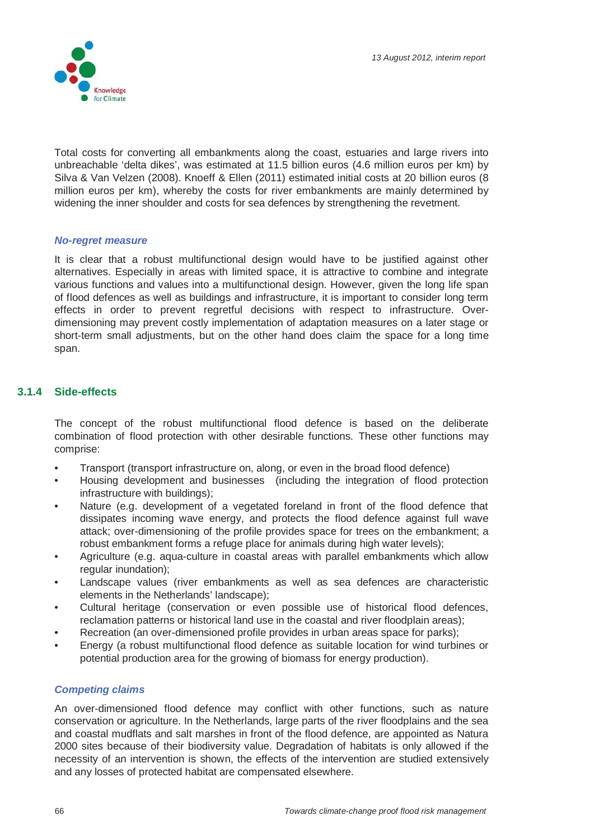

Total costs for converting all embankments along the coast, estuaries and large rivers into unbreachable 'delta dikes', was estimated at 11.5 billion euros (4.6 million euros per km) by Silva & Van Velzen (2008). Knoeff & Ellen (2011) estimated initial costs at 20 billion euros (8 million euros per km), whereby the costs for river embankments are mainly determined by widening the inner shoulder and costs for sea defences by strengthening the revetment.

#### *No-regret measure*

It is clear that a robust multifunctional design would have to be justified against other alternatives. Especially in areas with limited space, it is attractive to combine and integrate various functions and values into a multifunctional design. However, given the long life span of flood defences as well as buildings and infrastructure, it is important to consider long term effects in order to prevent regretful decisions with respect to infrastructure. Overdimensioning may prevent costly implementation of adaptation measures on a later stage or short-term small adjustments, but on the other hand does claim the space for a long time span.

#### **3.1.4 Side-effects**

The concept of the robust multifunctional flood defence is based on the deliberate combination of flood protection with other desirable functions. These other functions may comprise:

- Transport (transport infrastructure on, along, or even in the broad flood defence)
- Housing development and businesses (including the integration of flood protection infrastructure with buildings);
- Nature (e.g. development of a vegetated foreland in front of the flood defence that dissipates incoming wave energy, and protects the flood defence against full wave attack; over-dimensioning of the profile provides space for trees on the embankment; a robust embankment forms a refuge place for animals during high water levels);
- Agriculture (e.g. aqua-culture in coastal areas with parallel embankments which allow regular inundation);
- Landscape values (river embankments as well as sea defences are characteristic elements in the Netherlands' landscape);
- Cultural heritage (conservation or even possible use of historical flood defences, reclamation patterns or historical land use in the coastal and river floodplain areas);
- Recreation (an over-dimensioned profile provides in urban areas space for parks);
- Energy (a robust multifunctional flood defence as suitable location for wind turbines or potential production area for the growing of biomass for energy production).

#### *Competing claims*

An over-dimensioned flood defence may conflict with other functions, such as nature conservation or agriculture. In the Netherlands, large parts of the river floodplains and the sea and coastal mudflats and salt marshes in front of the flood defence, are appointed as Natura 2000 sites because of their biodiversity value. Degradation of habitats is only allowed if the necessity of an intervention is shown, the effects of the intervention are studied extensively and any losses of protected habitat are compensated elsewhere.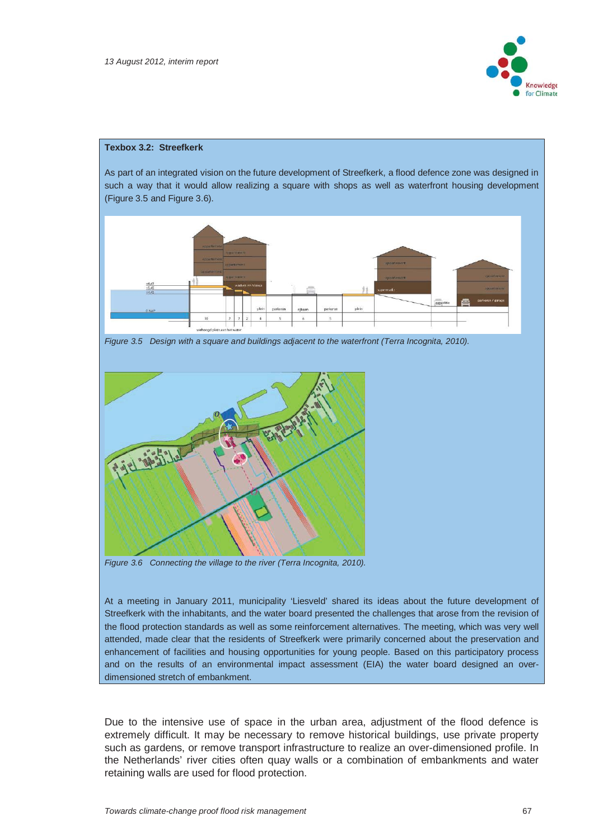

#### **Texbox 3.2: Streefkerk**

As part of an integrated vision on the future development of Streefkerk, a flood defence zone was designed in such a way that it would allow realizing a square with shops as well as waterfront housing development (Figure 3.5 and Figure 3.6).



*Figure 3.5 Design with a square and buildings adjacent to the waterfront (Terra Incognita, 2010).* 



*Figure 3.6 Connecting the village to the river (Terra Incognita, 2010).* 

At a meeting in January 2011, municipality 'Liesveld' shared its ideas about the future development of Streefkerk with the inhabitants, and the water board presented the challenges that arose from the revision of the flood protection standards as well as some reinforcement alternatives. The meeting, which was very well attended, made clear that the residents of Streefkerk were primarily concerned about the preservation and enhancement of facilities and housing opportunities for young people. Based on this participatory process and on the results of an environmental impact assessment (EIA) the water board designed an overdimensioned stretch of embankment.

Due to the intensive use of space in the urban area, adjustment of the flood defence is extremely difficult. It may be necessary to remove historical buildings, use private property such as gardens, or remove transport infrastructure to realize an over-dimensioned profile. In the Netherlands' river cities often quay walls or a combination of embankments and water retaining walls are used for flood protection.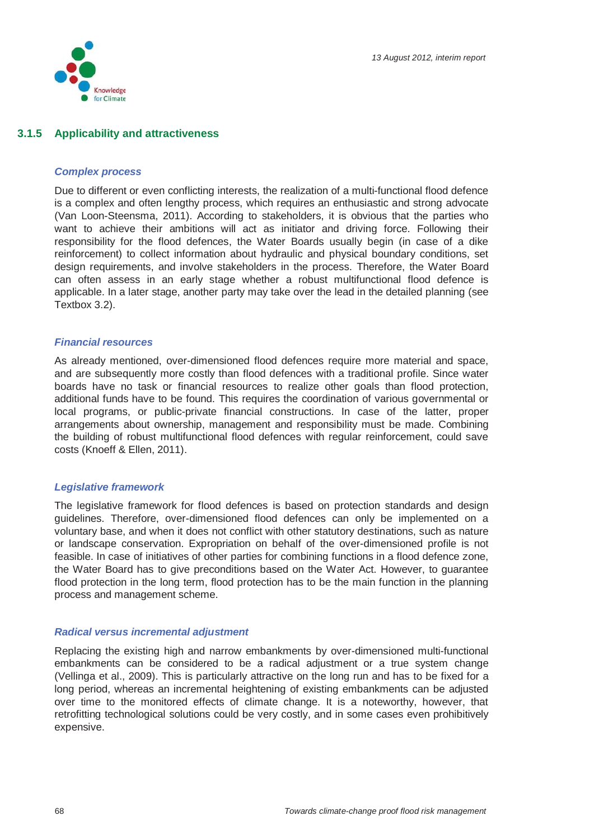

#### **3.1.5 Applicability and attractiveness**

#### *Complex process*

Due to different or even conflicting interests, the realization of a multi-functional flood defence is a complex and often lengthy process, which requires an enthusiastic and strong advocate (Van Loon-Steensma, 2011). According to stakeholders, it is obvious that the parties who want to achieve their ambitions will act as initiator and driving force. Following their responsibility for the flood defences, the Water Boards usually begin (in case of a dike reinforcement) to collect information about hydraulic and physical boundary conditions, set design requirements, and involve stakeholders in the process. Therefore, the Water Board can often assess in an early stage whether a robust multifunctional flood defence is applicable. In a later stage, another party may take over the lead in the detailed planning (see Textbox 3.2).

#### *Financial resources*

As already mentioned, over-dimensioned flood defences require more material and space, and are subsequently more costly than flood defences with a traditional profile. Since water boards have no task or financial resources to realize other goals than flood protection, additional funds have to be found. This requires the coordination of various governmental or local programs, or public-private financial constructions. In case of the latter, proper arrangements about ownership, management and responsibility must be made. Combining the building of robust multifunctional flood defences with regular reinforcement, could save costs (Knoeff & Ellen, 2011).

#### *Legislative framework*

The legislative framework for flood defences is based on protection standards and design guidelines. Therefore, over-dimensioned flood defences can only be implemented on a voluntary base, and when it does not conflict with other statutory destinations, such as nature or landscape conservation. Expropriation on behalf of the over-dimensioned profile is not feasible. In case of initiatives of other parties for combining functions in a flood defence zone, the Water Board has to give preconditions based on the Water Act. However, to guarantee flood protection in the long term, flood protection has to be the main function in the planning process and management scheme.

#### *Radical versus incremental adjustment*

Replacing the existing high and narrow embankments by over-dimensioned multi-functional embankments can be considered to be a radical adjustment or a true system change (Vellinga et al., 2009). This is particularly attractive on the long run and has to be fixed for a long period, whereas an incremental heightening of existing embankments can be adjusted over time to the monitored effects of climate change. It is a noteworthy, however, that retrofitting technological solutions could be very costly, and in some cases even prohibitively expensive.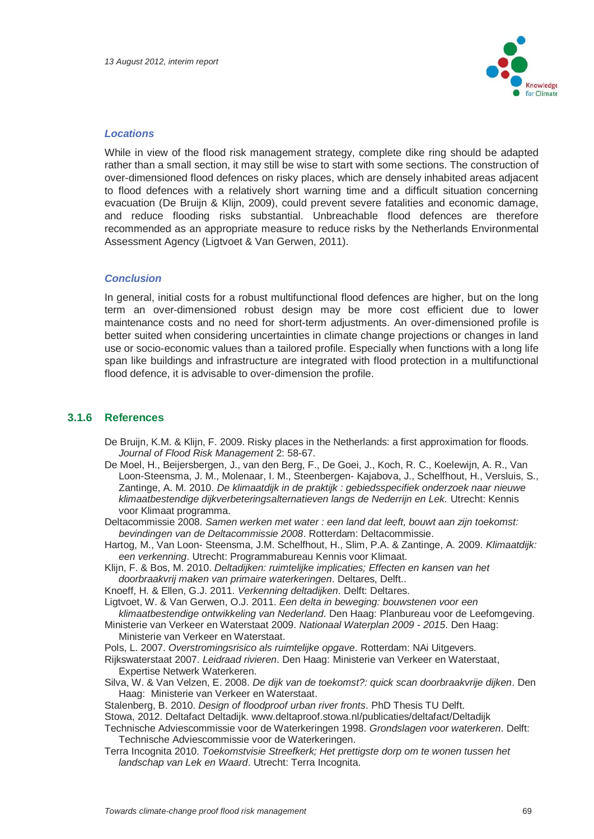

#### *Locations*

While in view of the flood risk management strategy, complete dike ring should be adapted rather than a small section, it may still be wise to start with some sections. The construction of over-dimensioned flood defences on risky places, which are densely inhabited areas adjacent to flood defences with a relatively short warning time and a difficult situation concerning evacuation (De Bruijn & Klijn, 2009), could prevent severe fatalities and economic damage, and reduce flooding risks substantial. Unbreachable flood defences are therefore recommended as an appropriate measure to reduce risks by the Netherlands Environmental Assessment Agency (Ligtvoet & Van Gerwen, 2011).

#### *Conclusion*

In general, initial costs for a robust multifunctional flood defences are higher, but on the long term an over-dimensioned robust design may be more cost efficient due to lower maintenance costs and no need for short-term adjustments. An over-dimensioned profile is better suited when considering uncertainties in climate change projections or changes in land use or socio-economic values than a tailored profile. Especially when functions with a long life span like buildings and infrastructure are integrated with flood protection in a multifunctional flood defence, it is advisable to over-dimension the profile.

#### **3.1.6 References**

- De Bruijn, K.M. & Klijn, F. 2009. Risky places in the Netherlands: a first approximation for floods. *Journal of Flood Risk Management* 2: 58-67.
- De Moel, H., Beijersbergen, J., van den Berg, F., De Goei, J., Koch, R. C., Koelewijn, A. R., Van Loon-Steensma, J. M., Molenaar, I. M., Steenbergen- Kajabova, J., Schelfhout, H., Versluis, S., Zantinge, A. M. 2010. *De klimaatdijk in de praktijk : gebiedsspecifiek onderzoek naar nieuwe klimaatbestendige dijkverbeteringsalternatieven langs de Nederrijn en Lek.* Utrecht: Kennis voor Klimaat programma.
- Deltacommissie 2008. *Samen werken met water : een land dat leeft, bouwt aan zijn toekomst: bevindingen van de Deltacommissie 2008*. Rotterdam: Deltacommissie.
- Hartog, M., Van Loon- Steensma, J.M. Schelfhout, H., Slim, P.A. & Zantinge, A. 2009. *Klimaatdijk: een verkenning*. Utrecht: Programmabureau Kennis voor Klimaat.
- Klijn, F. & Bos, M. 2010. *Deltadijken: ruimtelijke implicaties; Effecten en kansen van het doorbraakvrij maken van primaire waterkeringen*. Deltares, Delft..
- Knoeff, H. & Ellen, G.J. 2011. *Verkenning deltadijken*. Delft: Deltares.

Ligtvoet, W. & Van Gerwen, O.J. 2011. *Een delta in beweging: bouwstenen voor een klimaatbestendige ontwikkeling van Nederland*. Den Haag: Planbureau voor de Leefomgeving.

- Ministerie van Verkeer en Waterstaat 2009. *Nationaal Waterplan 2009 2015*. Den Haag: Ministerie van Verkeer en Waterstaat.
- Pols, L. 2007. *Overstromingsrisico als ruimtelijke opgave*. Rotterdam: NAi Uitgevers.
- Rijkswaterstaat 2007. *Leidraad rivieren*. Den Haag: Ministerie van Verkeer en Waterstaat, Expertise Netwerk Waterkeren.
- Silva, W. & Van Velzen, E. 2008. *De dijk van de toekomst?: quick scan doorbraakvrije dijken*. Den Haag: Ministerie van Verkeer en Waterstaat.

Stalenberg, B. 2010. *Design of floodproof urban river fronts*. PhD Thesis TU Delft.

Stowa, 2012. Deltafact Deltadijk. www.deltaproof.stowa.nl/publicaties/deltafact/Deltadijk

- Technische Adviescommissie voor de Waterkeringen 1998. *Grondslagen voor waterkeren*. Delft: Technische Adviescommissie voor de Waterkeringen.
- Terra Incognita 2010. *Toekomstvisie Streefkerk; Het prettigste dorp om te wonen tussen het landschap van Lek en Waard*. Utrecht: Terra Incognita.